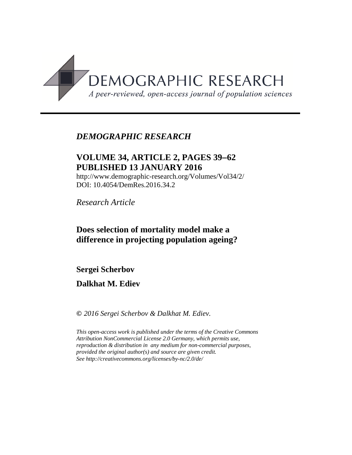

# *DEMOGRAPHIC RESEARCH*

# **VOLUME 34, ARTICLE 2, PAGES 39**−**62 PUBLISHED 13 JANUARY 2016**

http://www.demographic-research.org/Volumes/Vol34/2/ DOI: 10.4054/DemRes.2016.34.2

*Research Article*

# **Does selection of mortality model make a difference in projecting population ageing?**

**Sergei Scherbov**

### **Dalkhat M. Ediev**

**©** *2016 Sergei Scherbov & Dalkhat M. Ediev.*

*This open-access work is published under the terms of the Creative Commons Attribution NonCommercial License 2.0 Germany, which permits use, reproduction & distribution in any medium for non-commercial purposes, provided the original author(s) and source are given credit. See http://creativecommons.org/licenses/by-nc/2.0/de/*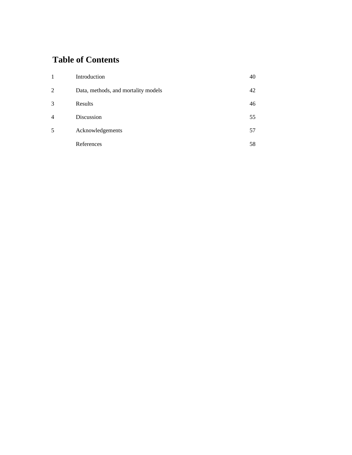# **Table of Contents**

| -1             | Introduction                        | 40 |
|----------------|-------------------------------------|----|
| $\overline{2}$ | Data, methods, and mortality models | 42 |
| 3              | Results                             | 46 |
| $\overline{4}$ | Discussion                          | 55 |
| 5              | Acknowledgements                    | 57 |
|                | References                          | 58 |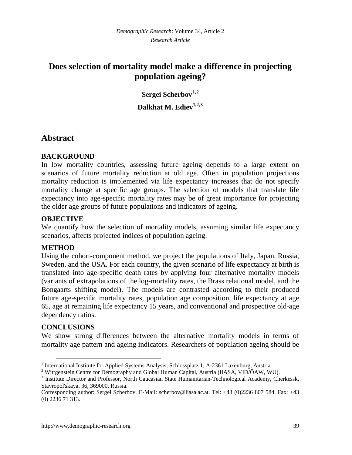# **Does selection of mortality model make a difference in projecting population ageing?**

**Sergei Scherbov[1](#page-2-0),[2](#page-2-1) Dalkhat M. Ediev1,2,[3](#page-2-2)**

### **Abstract**

#### **BACKGROUND**

In low mortality countries, assessing future ageing depends to a large extent on scenarios of future mortality reduction at old age. Often in population projections mortality reduction is implemented via life expectancy increases that do not specify mortality change at specific age groups. The selection of models that translate life expectancy into age-specific mortality rates may be of great importance for projecting the older age groups of future populations and indicators of ageing.

#### **OBJECTIVE**

We quantify how the selection of mortality models, assuming similar life expectancy scenarios, affects projected indices of population ageing.

#### **METHOD**

Using the cohort-component method, we project the populations of Italy, Japan, Russia, Sweden, and the USA. For each country, the given scenario of life expectancy at birth is translated into age-specific death rates by applying four alternative mortality models (variants of extrapolations of the log-mortality rates, the Brass relational model, and the Bongaarts shifting model). The models are contrasted according to their produced future age-specific mortality rates, population age composition, life expectancy at age 65, age at remaining life expectancy 15 years, and conventional and prospective old-age dependency ratios.

#### **CONCLUSIONS**

We show strong differences between the alternative mortality models in terms of mortality age pattern and ageing indicators. Researchers of population ageing should be

<span id="page-2-0"></span><sup>&</sup>lt;sup>1</sup> International Institute for Applied Systems Analysis, Schlossplatz 1, A-2361 Laxenburg, Austria.<br><sup>2</sup> Wittgenstein Centre for Demography and Global Human Capital, Austria (IIASA, VID/ÖAW, WU).

<span id="page-2-1"></span>

<span id="page-2-2"></span><sup>&</sup>lt;sup>3</sup> Institute Director and Professor, North Caucasian State Humanitarian-Technological Academy, Cherkessk, Stavropol'skaya, 36, 369000, Russia.

Corresponding author: Sergei Scherbov. E-Mail: scherbov@iiasa.ac.at. Tel: +43 (0)2236 807 584, Fax: +43 (0) 2236 71 313.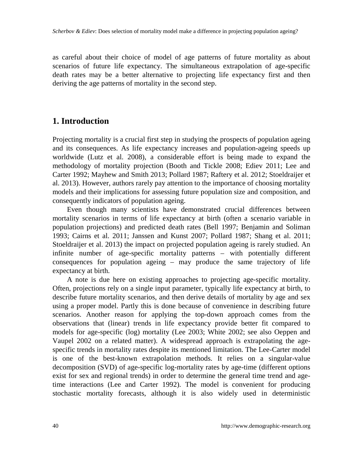as careful about their choice of model of age patterns of future mortality as about scenarios of future life expectancy. The simultaneous extrapolation of age-specific death rates may be a better alternative to projecting life expectancy first and then deriving the age patterns of mortality in the second step.

# **1. Introduction**

Projecting mortality is a crucial first step in studying the prospects of population ageing and its consequences. As life expectancy increases and population-ageing speeds up worldwide (Lutz et al. 2008), a considerable effort is being made to expand the methodology of mortality projection (Booth and Tickle 2008; Ediev 2011; Lee and Carter 1992; Mayhew and Smith 2013; Pollard 1987; Raftery et al. 2012; Stoeldraijer et al. 2013). However, authors rarely pay attention to the importance of choosing mortality models and their implications for assessing future population size and composition, and consequently indicators of population ageing.

Even though many scientists have demonstrated crucial differences between mortality scenarios in terms of life expectancy at birth (often a scenario variable in population projections) and predicted death rates (Bell 1997; Benjamin and Soliman 1993; Cairns et al. 2011; Janssen and Kunst 2007; Pollard 1987; Shang et al. 2011; Stoeldraijer et al. 2013) the impact on projected population ageing is rarely studied. An infinite number of age-specific mortality patterns – with potentially different consequences for population ageing – may produce the same trajectory of life expectancy at birth.

A note is due here on existing approaches to projecting age-specific mortality. Often, projections rely on a single input parameter, typically life expectancy at birth, to describe future mortality scenarios, and then derive details of mortality by age and sex using a proper model. Partly this is done because of convenience in describing future scenarios. Another reason for applying the top-down approach comes from the observations that (linear) trends in life expectancy provide better fit compared to models for age-specific (log) mortality (Lee 2003; White 2002; see also Oeppen and Vaupel 2002 on a related matter). A widespread approach is extrapolating the agespecific trends in mortality rates despite its mentioned limitation. The Lee-Carter model is one of the best-known extrapolation methods. It relies on a singular-value decomposition (SVD) of age-specific log-mortality rates by age-time (different options exist for sex and regional trends) in order to determine the general time trend and agetime interactions (Lee and Carter 1992). The model is convenient for producing stochastic mortality forecasts, although it is also widely used in deterministic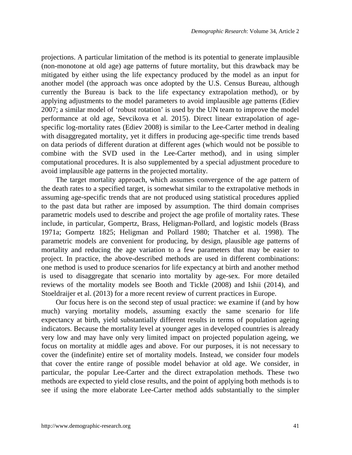projections. A particular limitation of the method is its potential to generate implausible (non-monotone at old age) age patterns of future mortality, but this drawback may be mitigated by either using the life expectancy produced by the model as an input for another model (the approach was once adopted by the U.S. Census Bureau, although currently the Bureau is back to the life expectancy extrapolation method), or by applying adjustments to the model parameters to avoid implausible age patterns (Ediev 2007; a similar model of 'robust rotation' is used by the UN team to improve the model performance at old age, Sevcikova et al. 2015). Direct linear extrapolation of agespecific log-mortality rates (Ediev 2008) is similar to the Lee-Carter method in dealing with disaggregated mortality, yet it differs in producing age-specific time trends based on data periods of different duration at different ages (which would not be possible to combine with the SVD used in the Lee-Carter method), and in using simpler computational procedures. It is also supplemented by a special adjustment procedure to avoid implausible age patterns in the projected mortality.

The target mortality approach, which assumes convergence of the age pattern of the death rates to a specified target, is somewhat similar to the extrapolative methods in assuming age-specific trends that are not produced using statistical procedures applied to the past data but rather are imposed by assumption. The third domain comprises parametric models used to describe and project the age profile of mortality rates. These include, in particular, Gompertz, Brass, Heligman-Pollard, and logistic models (Brass 1971a; Gompertz 1825; Heligman and Pollard 1980; Thatcher et al. 1998). The parametric models are convenient for producing, by design, plausible age patterns of mortality and reducing the age variation to a few parameters that may be easier to project. In practice, the above-described methods are used in different combinations: one method is used to produce scenarios for life expectancy at birth and another method is used to disaggregate that scenario into mortality by age-sex. For more detailed reviews of the mortality models see Booth and Tickle (2008) and Ishii (2014), and Stoeldraijer et al. (2013) for a more recent review of current practices in Europe.

Our focus here is on the second step of usual practice: we examine if (and by how much) varying mortality models, assuming exactly the same scenario for life expectancy at birth, yield substantially different results in terms of population ageing indicators. Because the mortality level at younger ages in developed countries is already very low and may have only very limited impact on projected population ageing, we focus on mortality at middle ages and above. For our purposes, it is not necessary to cover the (indefinite) entire set of mortality models. Instead, we consider four models that cover the entire range of possible model behavior at old age. We consider, in particular, the popular Lee-Carter and the direct extrapolation methods. These two methods are expected to yield close results, and the point of applying both methods is to see if using the more elaborate Lee-Carter method adds substantially to the simpler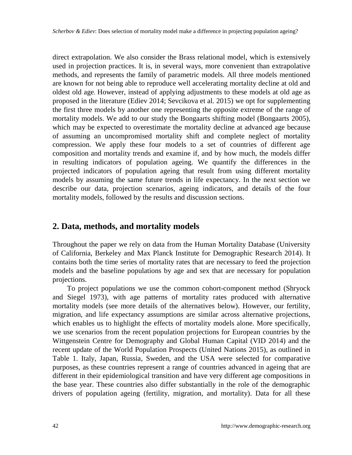direct extrapolation. We also consider the Brass relational model, which is extensively used in projection practices. It is, in several ways, more convenient than extrapolative methods, and represents the family of parametric models. All three models mentioned are known for not being able to reproduce well accelerating mortality decline at old and oldest old age. However, instead of applying adjustments to these models at old age as proposed in the literature (Ediev 2014; Sevcikova et al. 2015) we opt for supplementing the first three models by another one representing the opposite extreme of the range of mortality models. We add to our study the Bongaarts shifting model (Bongaarts 2005), which may be expected to overestimate the mortality decline at advanced age because of assuming an uncompromised mortality shift and complete neglect of mortality compression. We apply these four models to a set of countries of different age composition and mortality trends and examine if, and by how much, the models differ in resulting indicators of population ageing. We quantify the differences in the projected indicators of population ageing that result from using different mortality models by assuming the same future trends in life expectancy. In the next section we describe our data, projection scenarios, ageing indicators, and details of the four mortality models, followed by the results and discussion sections.

#### **2. Data, methods, and mortality models**

Throughout the paper we rely on data from the Human Mortality Database (University of California, Berkeley and Max Planck Institute for Demographic Research 2014). It contains both the time series of mortality rates that are necessary to feed the projection models and the baseline populations by age and sex that are necessary for population projections.

To project populations we use the common cohort-component method (Shryock and Siegel 1973), with age patterns of mortality rates produced with alternative mortality models (see more details of the alternatives below). However, our fertility, migration, and life expectancy assumptions are similar across alternative projections, which enables us to highlight the effects of mortality models alone. More specifically, we use scenarios from the recent population projections for European countries by the Wittgenstein Centre for Demography and Global Human Capital (VID 2014) and the recent update of the World Population Prospects (United Nations 2015), as outlined in Table 1. Italy, Japan, Russia, Sweden, and the USA were selected for comparative purposes, as these countries represent a range of countries advanced in ageing that are different in their epidemiological transition and have very different age compositions in the base year. These countries also differ substantially in the role of the demographic drivers of population ageing (fertility, migration, and mortality). Data for all these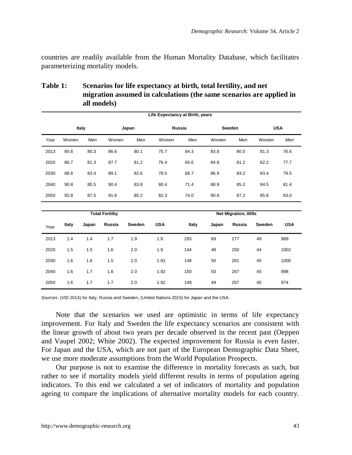countries are readily available from the Human Mortality Database, which facilitates parameterizing mortality models.

|      | Life Expectancy at Birth, years |       |        |        |            |        |       |                     |        |            |  |
|------|---------------------------------|-------|--------|--------|------------|--------|-------|---------------------|--------|------------|--|
|      | Italy                           |       |        | Japan  |            | Russia |       | Sweden              |        | <b>USA</b> |  |
| Year | Women                           | Men   | Women  | Men    | Women      | Men    | Women | Men                 | Women  | Men        |  |
| 2013 | 85.6                            | 80.3  | 86.6   | 80.1   | 75.7       | 64.3   | 83.8  | 80.0                | 81.3   | 76.6       |  |
| 2020 | 86.7                            | 81.3  | 87.7   | 81.2   | 76.4       | 65.6   | 84.9  | 81.2                | 82.2   | 77.7       |  |
| 2030 | 88.8                            | 83.4  | 89.1   | 82.6   | 78.5       | 68.7   | 86.9  | 83.2                | 83.4   | 79.5       |  |
| 2040 | 90.8                            | 85.5  | 90.4   | 83.9   | 80.4       | 71.4   | 88.9  | 85.2                | 84.5   | 81.4       |  |
| 2050 | 92.8                            | 87.5  | 91.6   | 85.2   | 82.3       | 74.0   | 90.9  | 87.2                | 85.6   | 83.0       |  |
|      |                                 |       |        |        |            |        |       |                     |        |            |  |
|      | <b>Total Fertility</b>          |       |        |        |            |        |       | Net Migration, 000s |        |            |  |
| Year | Italy                           | Japan | Russia | Sweden | <b>USA</b> | Italy  | Japan | Russia              | Sweden | <b>USA</b> |  |
| 2013 | 1.4                             | 1.4   | 1.7    | 1.9    | 1.9        | 293    | 69    | 277                 | 49     | 989        |  |
| 2020 | 1.5                             | 1.5   | 1.6    | 2.0    | 1.9        | 144    | 48    | 250                 | 44     | 1002       |  |
| 2030 | 1.6                             | 1.6   | 1.5    | 2.0    | 1.91       | 148    | 50    | 261                 | 45     | 1000       |  |
| 2040 | 1.6                             | 1.7   | 1.6    | 2.0    | 1.92       | 150    | 50    | 267                 | 45     | 998        |  |
| 2050 | 1.6                             | 1.7   | 1.7    | 2.0    | 1.92       | 149    | 49    | 267                 | 45     | 974        |  |

**Table 1: Scenarios for life expectancy at birth, total fertility, and net migration assumed in calculations (the same scenarios are applied in all models)**

*Sources*: (VID 2014) for Italy, Russia and Sweden, (United Nations 2015) for Japan and the USA.

Note that the scenarios we used are optimistic in terms of life expectancy improvement. For Italy and Sweden the life expectancy scenarios are consistent with the linear growth of about two years per decade observed in the recent past (Oeppen and Vaupel 2002; White 2002). The expected improvement for Russia is even faster. For Japan and the USA, which are not part of the European Demographic Data Sheet, we use more moderate assumptions from the World Population Prospects.

Our purpose is not to examine the difference in mortality forecasts as such, but rather to see if mortality models yield different results in terms of population ageing indicators. To this end we calculated a set of indicators of mortality and population ageing to compare the implications of alternative mortality models for each country.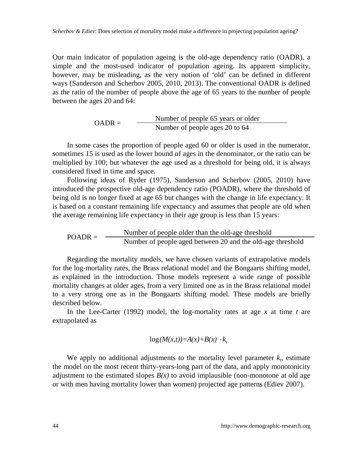Our main indicator of population ageing is the old-age dependency ratio (OADR), a simple and the most-used indicator of population ageing. Its apparent simplicity, however, may be misleading, as the very notion of 'old' can be defined in different ways (Sanderson and Scherbov 2005, 2010, 2013). The conventional OADR is defined as the ratio of the number of people above the age of 65 years to the number of people between the ages 20 and 64:

$$
OADR = \frac{\text{Number of people 65 years or older}}{\text{Number of people ages 20 to 64}}
$$

In some cases the proportion of people aged 60 or older is used in the numerator, sometimes 15 is used as the lower bound of ages in the denominator, or the ratio can be multiplied by 100; but whatever the age used as a threshold for being old, it is always considered fixed in time and space.

Following ideas of Ryder (1975), Sanderson and Scherbov (2005, 2010) have introduced the prospective old-age dependency ratio (POADR), where the threshold of being old is no longer fixed at age 65 but changes with the change in life expectancy. It is based on a constant remaining life expectancy and assumes that people are old when the average remaining life expectancy in their age group is less than 15 years:

$$
POADR = \frac{\text{Number of people older than the old-age threshold}}{\text{Number of people aged between 20 and the old-age threshold}}
$$

Regarding the mortality models, we have chosen variants of extrapolative models for the log-mortality rates, the Brass relational model and the Bongaarts shifting model, as explained in the introduction. Those models represent a wide range of possible mortality changes at older ages, from a very limited one as in the Brass relational model to a very strong one as in the Bongaarts shifting model. These models are briefly described below.

In the Lee-Carter (1992) model, the log-mortality rates at age *x* at time *t* are extrapolated as

$$
\log(M(x,t))=A(x)+B(x)\cdot k_t
$$

We apply no additional adjustments to the mortality level parameter  $k<sub>t</sub>$ , estimate the model on the most recent thirty-years-long part of the data, and apply monotonicity adjustment to the estimated slopes  $B(x)$  to avoid implausible (non-monotone at old age or with men having mortality lower than women) projected age patterns (Ediev 2007).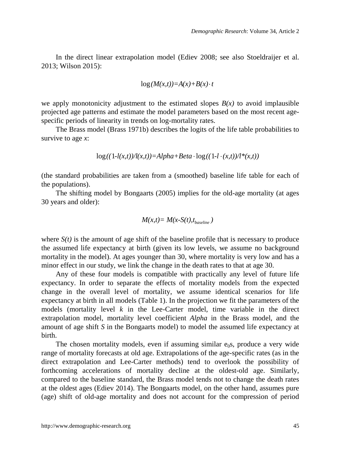In the direct linear extrapolation model (Ediev 2008; see also Stoeldraijer et al. 2013; Wilson 2015):

$$
\log(M(x,t))=A(x)+B(x)\cdot t
$$

we apply monotonicity adjustment to the estimated slopes  $B(x)$  to avoid implausible projected age patterns and estimate the model parameters based on the most recent agespecific periods of linearity in trends on log-mortality rates.

The Brass model (Brass 1971b) describes the logits of the life table probabilities to survive to age *x*:

$$
\log((1-l(x,t))/l(x,t)) = Alpha + Beta \cdot \log((1-l \cdot (x,t))/l^*(x,t))
$$

(the standard probabilities are taken from a (smoothed) baseline life table for each of the populations).

The shifting model by Bongaarts (2005) implies for the old-age mortality (at ages 30 years and older):

$$
M(x,t) = M(x-S(t),t_{baseline})
$$

where  $S(t)$  is the amount of age shift of the baseline profile that is necessary to produce the assumed life expectancy at birth (given its low levels, we assume no background mortality in the model). At ages younger than 30, where mortality is very low and has a minor effect in our study, we link the change in the death rates to that at age 30.

Any of these four models is compatible with practically any level of future life expectancy. In order to separate the effects of mortality models from the expected change in the overall level of mortality, we assume identical scenarios for life expectancy at birth in all models (Table 1). In the projection we fit the parameters of the models (mortality level *k* in the Lee-Carter model, time variable in the direct extrapolation model, mortality level coefficient *Alpha* in the Brass model, and the amount of age shift *S* in the Bongaarts model) to model the assumed life expectancy at birth.

The chosen mortality models, even if assuming similar  $e_0s$ , produce a very wide range of mortality forecasts at old age. Extrapolations of the age-specific rates (as in the direct extrapolation and Lee-Carter methods) tend to overlook the possibility of forthcoming accelerations of mortality decline at the oldest-old age. Similarly, compared to the baseline standard, the Brass model tends not to change the death rates at the oldest ages (Ediev 2014). The Bongaarts model, on the other hand, assumes pure (age) shift of old-age mortality and does not account for the compression of period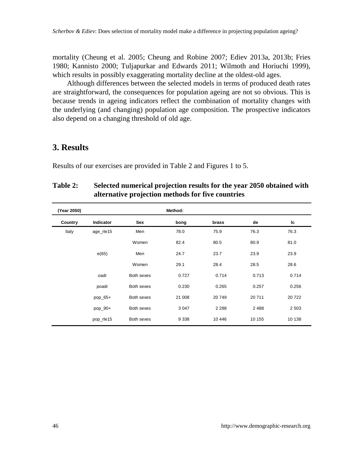mortality (Cheung et al. 2005; Cheung and Robine 2007; Ediev 2013a, 2013b; Fries 1980; Kannisto 2000; Tuljapurkar and Edwards 2011; Wilmoth and Horiuchi 1999), which results in possibly exaggerating mortality decline at the oldest-old ages.

Although differences between the selected models in terms of produced death rates are straightforward, the consequences for population ageing are not so obvious. This is because trends in ageing indicators reflect the combination of mortality changes with the underlying (and changing) population age composition. The prospective indicators also depend on a changing threshold of old age.

### **3. Results**

Results of our exercises are provided in Table 2 and Figures 1 to 5.

#### **Table 2: Selected numerical projection results for the year 2050 obtained with alternative projection methods for five countries**

| (Year 2050) |                  |            | Method: |         |        |         |
|-------------|------------------|------------|---------|---------|--------|---------|
| Country     | <b>Indicator</b> | Sex        | bong    | brass   | de     | Ic      |
| Italy       | age_rle15        | Men        | 78.0    | 75.9    | 76.3   | 76.3    |
|             |                  | Women      | 82.4    | 80.5    | 80.9   | 81.0    |
|             | e(65)            | Men        | 24.7    | 23.7    | 23.9   | 23.9    |
|             |                  | Women      | 29.1    | 28.4    | 28.5   | 28.6    |
|             | oadr             | Both sexes | 0.727   | 0.714   | 0.713  | 0.714   |
|             | poadr            | Both sexes | 0.230   | 0.265   | 0.257  | 0.256   |
|             | pop_65+          | Both sexes | 21 008  | 20749   | 20711  | 20722   |
|             | pop 90+          | Both sexes | 3 0 4 7 | 2 2 8 8 | 2488   | 2 5 0 3 |
|             | pop_rle15        | Both sexes | 9 3 3 8 | 10 446  | 10 155 | 10 138  |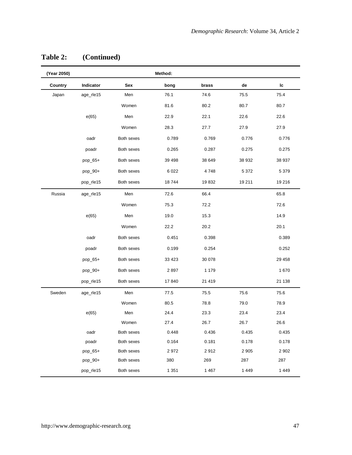| (Year 2050) |           |            | Method: |         |         |         |
|-------------|-----------|------------|---------|---------|---------|---------|
| Country     | Indicator | Sex        | bong    | brass   | de      | Ic      |
| Japan       | age_rle15 | Men        | 76.1    | 74.6    | 75.5    | 75.4    |
|             |           | Women      | 81.6    | 80.2    | 80.7    | 80.7    |
|             | e(65)     | Men        | 22.9    | 22.1    | 22.6    | 22.6    |
|             |           | Women      | 28.3    | 27.7    | 27.9    | 27.9    |
|             | oadr      | Both sexes | 0.789   | 0.769   | 0.776   | 0.776   |
|             | poadr     | Both sexes | 0.265   | 0.287   | 0.275   | 0.275   |
|             | pop_65+   | Both sexes | 39 4 98 | 38 649  | 38 932  | 38 937  |
|             | pop_90+   | Both sexes | 6 0 2 2 | 4748    | 5 3 7 2 | 5 3 7 9 |
|             | pop_rle15 | Both sexes | 18744   | 19832   | 19 211  | 19 216  |
| Russia      | age_rle15 | Men        | 72.6    | 66.4    |         | 65.8    |
|             |           | Women      | 75.3    | 72.2    |         | 72.6    |
|             | e(65)     | Men        | 19.0    | 15.3    |         | 14.9    |
|             |           | Women      | 22.2    | 20.2    |         | 20.1    |
|             | oadr      | Both sexes | 0.451   | 0.398   |         | 0.389   |
|             | poadr     | Both sexes | 0.199   | 0.254   |         | 0.252   |
|             | pop_65+   | Both sexes | 33 4 23 | 30 078  |         | 29 458  |
|             | pop_90+   | Both sexes | 2897    | 1 1 7 9 |         | 1670    |
|             | pop_rle15 | Both sexes | 17840   | 21 4 19 |         | 21 138  |
| Sweden      | age_rle15 | Men        | 77.5    | 75.5    | 75.6    | 75.6    |
|             |           | Women      | 80.5    | 78.8    | 79.0    | 78.9    |
|             | e(65)     | Men        | 24.4    | 23.3    | 23.4    | 23.4    |
|             |           | Women      | 27.4    | 26.7    | 26.7    | 26.6    |
|             | oadr      | Both sexes | 0.448   | 0.436   | 0.435   | 0.435   |
|             | poadr     | Both sexes | 0.164   | 0.181   | 0.178   | 0.178   |
|             | pop_65+   | Both sexes | 2972    | 2912    | 2 9 0 5 | 2 9 0 2 |
|             | pop_90+   | Both sexes | 380     | 269     | 287     | 287     |
|             | pop_rle15 | Both sexes | 1 3 5 1 | 1467    | 1449    | 1 4 4 9 |

### **Table 2: (Continued)**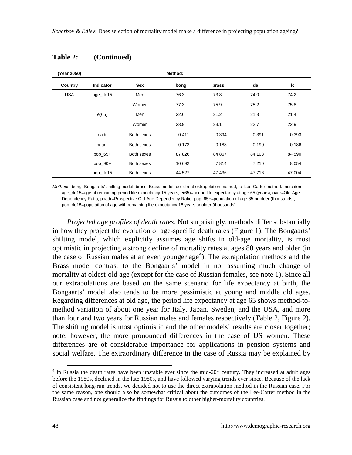| (Year 2050) |                  |            | Method: |        |         |         |
|-------------|------------------|------------|---------|--------|---------|---------|
| Country     | <b>Indicator</b> | Sex        | bong    | brass  | de      | Ic      |
| <b>USA</b>  | age rle15        | Men        | 76.3    | 73.8   | 74.0    | 74.2    |
|             |                  | Women      | 77.3    | 75.9   | 75.2    | 75.8    |
|             | e(65)            | Men        | 22.6    | 21.2   | 21.3    | 21.4    |
|             |                  | Women      | 23.9    | 23.1   | 22.7    | 22.9    |
|             | oadr             | Both sexes | 0.411   | 0.394  | 0.391   | 0.393   |
|             | poadr            | Both sexes | 0.173   | 0.188  | 0.190   | 0.186   |
|             | pop_65+          | Both sexes | 87826   | 84 867 | 84 103  | 84 590  |
|             | pop_90+          | Both sexes | 10 692  | 7814   | 7 2 1 0 | 8 0 5 4 |
|             | pop_rle15        | Both sexes | 44 527  | 47436  | 47 716  | 47 004  |

**Table 2: (Continued)**

*Methods*: bong=Bongaarts' shifting model; brass=Brass model; de=direct extrapolation method; lc=Lee-Carter method. Indicators: age rle15=age at remaining period life expectancy 15 years; e(65)=period life expectancy at age 65 (years); oadr=Old-Age Dependency Ratio; poadr=Prospective Old-Age Dependency Ratio; pop 65+=population of age 65 or older (thousands); pop rle15=population of age with remaining life expectancy 15 years or older (thousands).

*Projected age profiles of death rates*. Not surprisingly, methods differ substantially in how they project the evolution of age-specific death rates (Figure 1). The Bongaarts' shifting model, which explicitly assumes age shifts in old-age mortality, is most optimistic in projecting a strong decline of mortality rates at ages 80 years and older (in the case of Russian males at an even younger  $age<sup>4</sup>$  $age<sup>4</sup>$  $age<sup>4</sup>$ ). The extrapolation methods and the Brass model contrast to the Bongaarts' model in not assuming much change of mortality at oldest-old age (except for the case of Russian females, see note 1). Since all our extrapolations are based on the same scenario for life expectancy at birth, the Bongaarts' model also tends to be more pessimistic at young and middle old ages. Regarding differences at old age, the period life expectancy at age 65 shows method-tomethod variation of about one year for Italy, Japan, Sweden, and the USA, and more than four and two years for Russian males and females respectively (Table 2, Figure 2). The shifting model is most optimistic and the other models' results are closer together; note, however, the more pronounced differences in the case of US women. These differences are of considerable importance for applications in pension systems and social welfare. The extraordinary difference in the case of Russia may be explained by

<span id="page-11-0"></span> $4$  In Russia the death rates have been unstable ever since the mid-20<sup>th</sup> century. They increased at adult ages before the 1980s, declined in the late 1980s, and have followed varying trends ever since. Because of the lack of consistent long-run trends, we decided not to use the direct extrapolation method in the Russian case. For the same reason, one should also be somewhat critical about the outcomes of the Lee-Carter method in the Russian case and not generalize the findings for Russia to other higher-mortality countries.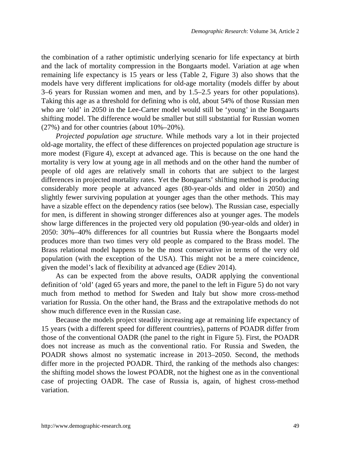the combination of a rather optimistic underlying scenario for life expectancy at birth and the lack of mortality compression in the Bongaarts model. Variation at age when remaining life expectancy is 15 years or less (Table 2, Figure 3) also shows that the models have very different implications for old-age mortality (models differ by about 3–6 years for Russian women and men, and by 1.5–2.5 years for other populations). Taking this age as a threshold for defining who is old, about 54% of those Russian men who are 'old' in 2050 in the Lee-Carter model would still be 'young' in the Bongaarts shifting model. The difference would be smaller but still substantial for Russian women (27%) and for other countries (about 10%–20%).

*Projected population age structure.* While methods vary a lot in their projected old-age mortality, the effect of these differences on projected population age structure is more modest (Figure 4), except at advanced age. This is because on the one hand the mortality is very low at young age in all methods and on the other hand the number of people of old ages are relatively small in cohorts that are subject to the largest differences in projected mortality rates. Yet the Bongaarts' shifting method is producing considerably more people at advanced ages (80-year-olds and older in 2050) and slightly fewer surviving population at younger ages than the other methods. This may have a sizable effect on the dependency ratios (see below). The Russian case, especially for men, is different in showing stronger differences also at younger ages. The models show large differences in the projected very old population (90-year-olds and older) in 2050: 30%–40% differences for all countries but Russia where the Bongaarts model produces more than two times very old people as compared to the Brass model. The Brass relational model happens to be the most conservative in terms of the very old population (with the exception of the USA). This might not be a mere coincidence, given the model's lack of flexibility at advanced age (Ediev 2014).

As can be expected from the above results, OADR applying the conventional definition of 'old' (aged 65 years and more, the panel to the left in Figure 5) do not vary much from method to method for Sweden and Italy but show more cross-method variation for Russia. On the other hand, the Brass and the extrapolative methods do not show much difference even in the Russian case.

Because the models project steadily increasing age at remaining life expectancy of 15 years (with a different speed for different countries), patterns of POADR differ from those of the conventional OADR (the panel to the right in Figure 5). First, the POADR does not increase as much as the conventional ratio. For Russia and Sweden, the POADR shows almost no systematic increase in 2013–2050. Second, the methods differ more in the projected POADR. Third, the ranking of the methods also changes: the shifting model shows the lowest POADR, not the highest one as in the conventional case of projecting OADR. The case of Russia is, again, of highest cross-method variation.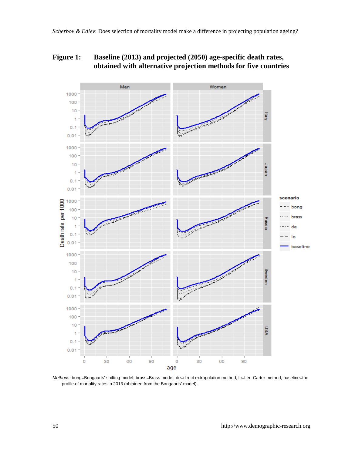### **Figure 1: Baseline (2013) and projected (2050) age-specific death rates, obtained with alternative projection methods for five countries**



*Methods*: bong=Bongaarts' shifting model; brass=Brass model; de=direct extrapolation method; lc=Lee-Carter method; baseline=the profile of mortality rates in 2013 (obtained from the Bongaarts' model).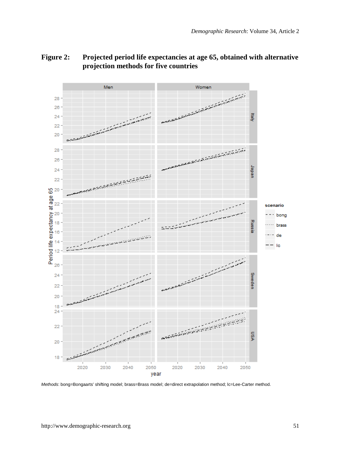

#### **Figure 2: Projected period life expectancies at age 65, obtained with alternative projection methods for five countries**

*Methods*: bong=Bongaarts' shifting model; brass=Brass model; de=direct extrapolation method; lc=Lee-Carter method.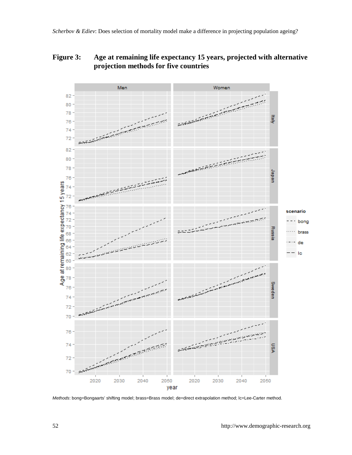#### **Figure 3: Age at remaining life expectancy 15 years, projected with alternative projection methods for five countries**



*Methods*: bong=Bongaarts' shifting model; brass=Brass model; de=direct extrapolation method; lc=Lee-Carter method.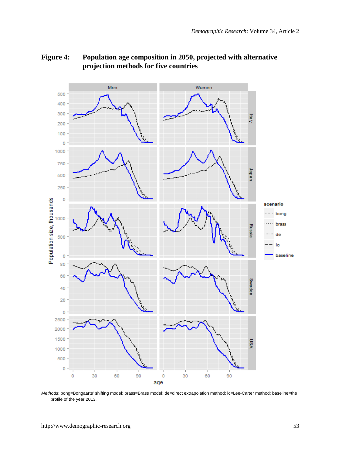

#### **Figure 4: Population age composition in 2050, projected with alternative projection methods for five countries**

*Methods*: bong=Bongaarts' shifting model; brass=Brass model; de=direct extrapolation method; lc=Lee-Carter method; baseline=the profile of the year 2013.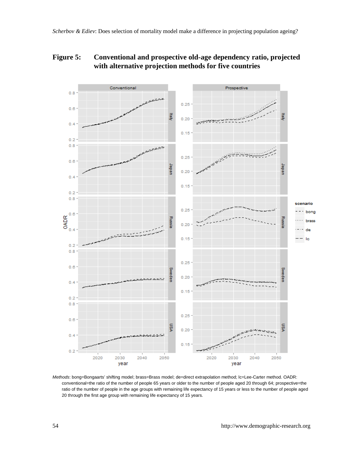### **Figure 5: Conventional and prospective old-age dependency ratio, projected with alternative projection methods for five countries**



*Methods*: bong=Bongaarts' shifting model; brass=Brass model; de=direct extrapolation method; lc=Lee-Carter method. OADR: conventional=the ratio of the number of people 65 years or older to the number of people aged 20 through 64; prospective=the ratio of the number of people in the age groups with remaining life expectancy of 15 years or less to the number of people aged 20 through the first age group with remaining life expectancy of 15 years.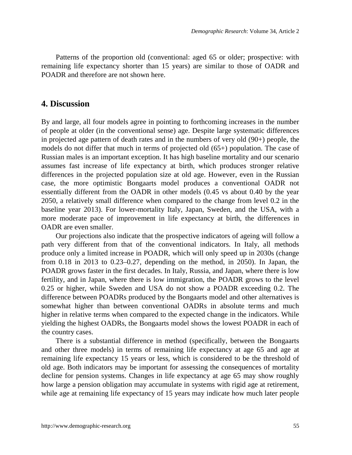Patterns of the proportion old (conventional: aged 65 or older; prospective: with remaining life expectancy shorter than 15 years) are similar to those of OADR and POADR and therefore are not shown here.

#### **4. Discussion**

By and large, all four models agree in pointing to forthcoming increases in the number of people at older (in the conventional sense) age. Despite large systematic differences in projected age pattern of death rates and in the numbers of very old  $(90+)$  people, the models do not differ that much in terms of projected old (65+) population. The case of Russian males is an important exception. It has high baseline mortality and our scenario assumes fast increase of life expectancy at birth, which produces stronger relative differences in the projected population size at old age. However, even in the Russian case, the more optimistic Bongaarts model produces a conventional OADR not essentially different from the OADR in other models (0.45 vs about 0.40 by the year 2050, a relatively small difference when compared to the change from level 0.2 in the baseline year 2013). For lower-mortality Italy, Japan, Sweden, and the USA, with a more moderate pace of improvement in life expectancy at birth, the differences in OADR are even smaller.

Our projections also indicate that the prospective indicators of ageing will follow a path very different from that of the conventional indicators. In Italy, all methods produce only a limited increase in POADR, which will only speed up in 2030s (change from 0.18 in 2013 to 0.23–0.27, depending on the method, in 2050). In Japan, the POADR grows faster in the first decades. In Italy, Russia, and Japan, where there is low fertility, and in Japan, where there is low immigration, the POADR grows to the level 0.25 or higher, while Sweden and USA do not show a POADR exceeding 0.2. The difference between POADRs produced by the Bongaarts model and other alternatives is somewhat higher than between conventional OADRs in absolute terms and much higher in relative terms when compared to the expected change in the indicators. While yielding the highest OADRs, the Bongaarts model shows the lowest POADR in each of the country cases.

There is a substantial difference in method (specifically, between the Bongaarts and other three models) in terms of remaining life expectancy at age 65 and age at remaining life expectancy 15 years or less, which is considered to be the threshold of old age. Both indicators may be important for assessing the consequences of mortality decline for pension systems. Changes in life expectancy at age 65 may show roughly how large a pension obligation may accumulate in systems with rigid age at retirement, while age at remaining life expectancy of 15 years may indicate how much later people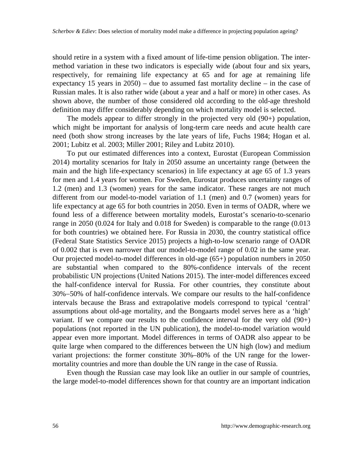should retire in a system with a fixed amount of life-time pension obligation. The intermethod variation in these two indicators is especially wide (about four and six years, respectively, for remaining life expectancy at 65 and for age at remaining life expectancy 15 years in  $2050$  – due to assumed fast mortality decline – in the case of Russian males. It is also rather wide (about a year and a half or more) in other cases. As shown above, the number of those considered old according to the old-age threshold definition may differ considerably depending on which mortality model is selected.

The models appear to differ strongly in the projected very old (90+) population, which might be important for analysis of long-term care needs and acute health care need (both show strong increases by the late years of life, Fuchs 1984; Hogan et al. 2001; Lubitz et al. 2003; Miller 2001; Riley and Lubitz 2010).

To put our estimated differences into a context, Eurostat (European Commission 2014) mortality scenarios for Italy in 2050 assume an uncertainty range (between the main and the high life-expectancy scenarios) in life expectancy at age 65 of 1.3 years for men and 1.4 years for women. For Sweden, Eurostat produces uncertainty ranges of 1.2 (men) and 1.3 (women) years for the same indicator. These ranges are not much different from our model-to-model variation of 1.1 (men) and 0.7 (women) years for life expectancy at age 65 for both countries in 2050. Even in terms of OADR, where we found less of a difference between mortality models, Eurostat's scenario-to-scenario range in 2050 (0.024 for Italy and 0.018 for Sweden) is comparable to the range (0.013 for both countries) we obtained here. For Russia in 2030, the country statistical office (Federal State Statistics Service 2015) projects a high-to-low scenario range of OADR of 0.002 that is even narrower that our model-to-model range of 0.02 in the same year. Our projected model-to-model differences in old-age (65+) population numbers in 2050 are substantial when compared to the 80%-confidence intervals of the recent probabilistic UN projections (United Nations 2015). The inter-model differences exceed the half-confidence interval for Russia. For other countries, they constitute about 30%−50% of half-confidence intervals. We compare our results to the half-confidence intervals because the Brass and extrapolative models correspond to typical 'central' assumptions about old-age mortality, and the Bongaarts model serves here as a 'high' variant. If we compare our results to the confidence interval for the very old (90+) populations (not reported in the UN publication), the model-to-model variation would appear even more important. Model differences in terms of OADR also appear to be quite large when compared to the differences between the UN high (low) and medium variant projections: the former constitute 30%–80% of the UN range for the lowermortality countries and more than double the UN range in the case of Russia.

Even though the Russian case may look like an outlier in our sample of countries, the large model-to-model differences shown for that country are an important indication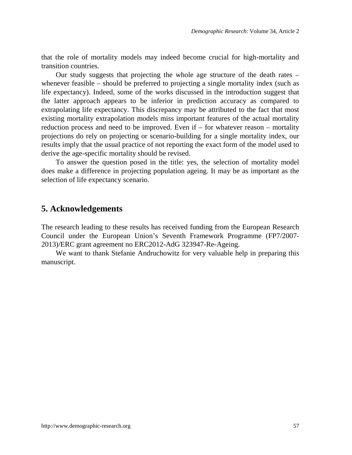that the role of mortality models may indeed become crucial for high-mortality and transition countries.

Our study suggests that projecting the whole age structure of the death rates – whenever feasible – should be preferred to projecting a single mortality index (such as life expectancy). Indeed, some of the works discussed in the introduction suggest that the latter approach appears to be inferior in prediction accuracy as compared to extrapolating life expectancy. This discrepancy may be attributed to the fact that most existing mortality extrapolation models miss important features of the actual mortality reduction process and need to be improved. Even if – for whatever reason – mortality projections do rely on projecting or scenario-building for a single mortality index, our results imply that the usual practice of not reporting the exact form of the model used to derive the age-specific mortality should be revised.

To answer the question posed in the title: yes, the selection of mortality model does make a difference in projecting population ageing. It may be as important as the selection of life expectancy scenario.

#### **5. Acknowledgements**

The research leading to these results has received funding from the European Research Council under the European Union's Seventh Framework Programme (FP7/2007- 2013)/ERC grant agreement no ERC2012-AdG 323947-Re-Ageing.

We want to thank Stefanie Andruchowitz for very valuable help in preparing this manuscript.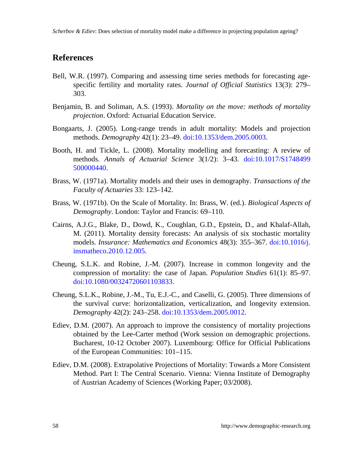### **References**

- Bell, W.R. (1997). Comparing and assessing time series methods for forecasting agespecific fertility and mortality rates. *Journal of Official Statistics* 13(3): 279– 303.
- Benjamin, B. and Soliman, A.S. (1993). *Mortality on the move: methods of mortality projection*. Oxford: Actuarial Education Service.
- Bongaarts, J. (2005). Long-range trends in adult mortality: Models and projection methods. *Demography* 42(1): 23–49. doi[:10.1353/dem.2005.0003.](http://dx.doi.org/10.1353/dem.2005.0003)
- Booth, H. and Tickle, L. (2008). Mortality modelling and forecasting: A review of methods. *Annals of Actuarial Science* 3(1/2): 3–43. doi[:10.1017/S1748499](http://dx.doi.org/10.1017/S1748499500000440) [500000440.](http://dx.doi.org/10.1017/S1748499500000440)
- Brass, W. (1971a). Mortality models and their uses in demography. *Transactions of the Faculty of Actuaries* 33: 123–142.
- Brass, W. (1971b). On the Scale of Mortality. In: Brass, W. (ed.). *Biological Aspects of Demography*. London: Taylor and Francis: 69–110.
- Cairns, A.J.G., Blake, D., Dowd, K., Coughlan, G.D., Epstein, D., and Khalaf-Allah, M. (2011). Mortality density forecasts: An analysis of six stochastic mortality models. *Insurance: Mathematics and Economics* 48(3): 355–367. do[i:10.1016/j.](http://dx.doi.org/10.1016/j.insmatheco.2010.12.005) [insmatheco.2010.12.005.](http://dx.doi.org/10.1016/j.insmatheco.2010.12.005)
- Cheung, S.L.K. and Robine, J.-M. (2007). Increase in common longevity and the compression of mortality: the case of Japan. *Population Studies* 61(1): 85–97. doi[:10.1080/00324720601103833.](http://dx.doi.org/10.1080/00324720601103833)
- Cheung, S.L.K., Robine, J.-M., Tu, E.J.-C., and Caselli, G. (2005). Three dimensions of the survival curve: horizontalization, verticalization, and longevity extension. *Demography* 42(2): 243–258. doi[:10.1353/dem.2005.0012.](http://dx.doi.org/10.1353/dem.2005.0012)
- Ediev, D.M. (2007). An approach to improve the consistency of mortality projections obtained by the Lee-Carter method (Work session on demographic projections. Bucharest, 10-12 October 2007). Luxembourg: Office for Official Publications of the European Communities: 101–115.
- Ediev, D.M. (2008). Extrapolative Projections of Mortality: Towards a More Consistent Method. Part I: The Central Scenario. Vienna: Vienna Institute of Demography of Austrian Academy of Sciences (Working Paper; 03/2008).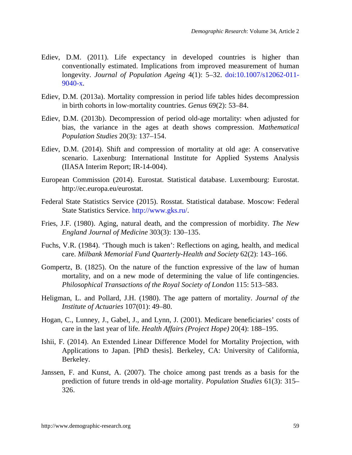- Ediev, D.M. (2011). Life expectancy in developed countries is higher than conventionally estimated. Implications from improved measurement of human longevity. *Journal of Population Ageing* 4(1): 5–32. doi[:10.1007/s12062-011-](http://dx.doi.org/10.1007/s12062-011-9040-x) [9040-x.](http://dx.doi.org/10.1007/s12062-011-9040-x)
- Ediev, D.M. (2013a). Mortality compression in period life tables hides decompression in birth cohorts in low-mortality countries. *Genus* 69(2): 53–84.
- Ediev, D.M. (2013b). Decompression of period old-age mortality: when adjusted for bias, the variance in the ages at death shows compression. *Mathematical Population Studies* 20(3): 137–154.
- Ediev, D.M. (2014). Shift and compression of mortality at old age: A conservative scenario. Laxenburg: International Institute for Applied Systems Analysis (IIASA Interim Report; IR-14-004).
- European Commission (2014). Eurostat. Statistical database. Luxembourg: Eurostat. http://ec.europa.eu/eurostat.
- Federal State Statistics Service (2015). Rosstat. Statistical database. Moscow: Federal State Statistics Service. [http://www.gks.ru/.](http://www.gks.ru/)
- Fries, J.F. (1980). Aging, natural death, and the compression of morbidity. *The New England Journal of Medicine* 303(3): 130–135.
- Fuchs, V.R. (1984). 'Though much is taken': Reflections on aging, health, and medical care. *Milbank Memorial Fund Quarterly-Health and Society* 62(2): 143–166.
- Gompertz, B. (1825). On the nature of the function expressive of the law of human mortality, and on a new mode of determining the value of life contingencies. *Philosophical Transactions of the Royal Society of London* 115: 513–583.
- Heligman, L. and Pollard, J.H. (1980). The age pattern of mortality. *Journal of the Institute of Actuaries* 107(01): 49–80.
- Hogan, C., Lunney, J., Gabel, J., and Lynn, J. (2001). Medicare beneficiaries' costs of care in the last year of life. *Health Affairs (Project Hope)* 20(4): 188–195.
- Ishii, F. (2014). An Extended Linear Difference Model for Mortality Projection, with Applications to Japan. [PhD thesis]. Berkeley, CA: University of California, Berkeley.
- Janssen, F. and Kunst, A. (2007). The choice among past trends as a basis for the prediction of future trends in old-age mortality. *Population Studies* 61(3): 315– 326.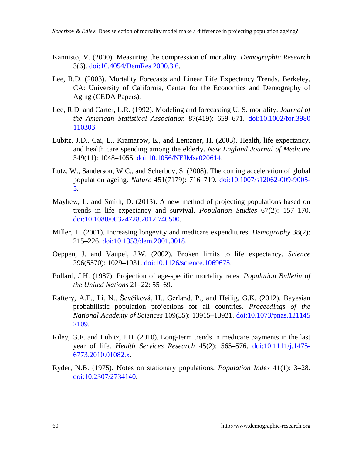- Kannisto, V. (2000). Measuring the compression of mortality. *Demographic Research* 3(6). doi[:10.4054/DemRes.2000.3.6.](http://dx.doi.org/10.4054/DemRes.2000.3.6)
- Lee, R.D. (2003). Mortality Forecasts and Linear Life Expectancy Trends. Berkeley, CA: University of California, Center for the Economics and Demography of Aging (CEDA Papers).
- Lee, R.D. and Carter, L.R. (1992). Modeling and forecasting U. S. mortality. *Journal of the American Statistical Association* 87(419): 659–671. doi[:10.1002/for.3980](http://dx.doi.org/10.1002/for.3980110303) [110303.](http://dx.doi.org/10.1002/for.3980110303)
- Lubitz, J.D., Cai, L., Kramarow, E., and Lentzner, H. (2003). Health, life expectancy, and health care spending among the elderly. *New England Journal of Medicine* 349(11): 1048–1055. doi[:10.1056/NEJMsa020614.](http://dx.doi.org/10.1056/NEJMsa020614)
- Lutz, W., Sanderson, W.C., and Scherbov, S. (2008). The coming acceleration of global population ageing. *Nature* 451(7179): 716–719. doi[:10.1007/s12062-009-9005-](http://dx.doi.org/10.1007/s12062-009-9005-5) [5.](http://dx.doi.org/10.1007/s12062-009-9005-5)
- Mayhew, L. and Smith, D. (2013). A new method of projecting populations based on trends in life expectancy and survival. *Population Studies* 67(2): 157–170. doi[:10.1080/00324728.2012.740500.](http://dx.doi.org/10.1080/00324728.2012.740500)
- Miller, T. (2001). Increasing longevity and medicare expenditures. *Demography* 38(2): 215–226. doi[:10.1353/dem.2001.0018.](http://dx.doi.org/10.1353/dem.2001.0018)
- Oeppen, J. and Vaupel, J.W. (2002). Broken limits to life expectancy. *Science* 296(5570): 1029–1031. doi[:10.1126/science.1069675.](http://dx.doi.org/10.1126/science.1069675)
- Pollard, J.H. (1987). Projection of age-specific mortality rates. *Population Bulletin of the United Nations* 21–22: 55–69.
- Raftery, A.E., Li, N., Ševčíková, H., Gerland, P., and Heilig, G.K. (2012). Bayesian probabilistic population projections for all countries. *Proceedings of the National Academy of Sciences* 109(35): 13915–13921. doi[:10.1073/pnas.121145](http://dx.doi.org/10.1073/pnas.1211452109) [2109.](http://dx.doi.org/10.1073/pnas.1211452109)
- Riley, G.F. and Lubitz, J.D. (2010). Long-term trends in medicare payments in the last year of life. *Health Services Research* 45(2): 565–576. doi[:10.1111/j.1475-](http://dx.doi.org/10.1111/j.1475-6773.2010.01082.x) [6773.2010.01082.x.](http://dx.doi.org/10.1111/j.1475-6773.2010.01082.x)
- Ryder, N.B. (1975). Notes on stationary populations. *Population Index* 41(1): 3–28. doi[:10.2307/2734140.](http://dx.doi.org/10.2307/2734140)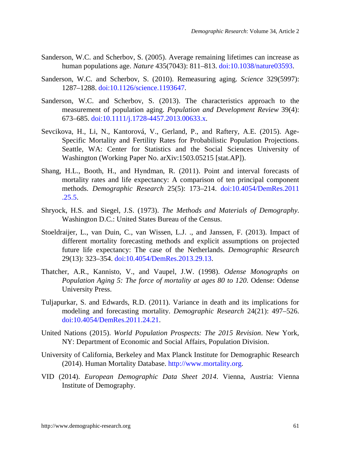- Sanderson, W.C. and Scherbov, S. (2005). Average remaining lifetimes can increase as human populations age. *Nature* 435(7043): 811–813. doi[:10.1038/nature03593.](http://dx.doi.org/10.1038/nature03593)
- Sanderson, W.C. and Scherbov, S. (2010). Remeasuring aging. *Science* 329(5997): 1287–1288. doi[:10.1126/science.1193647.](http://dx.doi.org/10.1126/science.1193647)
- Sanderson, W.C. and Scherbov, S. (2013). The characteristics approach to the measurement of population aging. *Population and Development Review* 39(4): 673–685. doi[:10.1111/j.1728-4457.2013.00633.x.](http://dx.doi.org/10.1111/j.1728-4457.2013.00633.x)
- Sevcikova, H., Li, N., Kantorová, V., Gerland, P., and Raftery, A.E. (2015). Age-Specific Mortality and Fertility Rates for Probabilistic Population Projections. Seattle, WA: Center for Statistics and the Social Sciences University of Washington (Working Paper No. arXiv:1503.05215 [stat.AP]).
- Shang, H.L., Booth, H., and Hyndman, R. (2011). Point and interval forecasts of mortality rates and life expectancy: A comparison of ten principal component methods. *Demographic Research* 25(5): 173–214. do[i:10.4054/DemRes.2011](http://dx.doi.org/10.4054/DemRes.2011.25.5) [.25.5.](http://dx.doi.org/10.4054/DemRes.2011.25.5)
- Shryock, H.S. and Siegel, J.S. (1973). *The Methods and Materials of Demography*. Washington D.C.: United States Bureau of the Census.
- Stoeldraijer, L., van Duin, C., van Wissen, L.J. ., and Janssen, F. (2013). Impact of different mortality forecasting methods and explicit assumptions on projected future life expectancy: The case of the Netherlands. *Demographic Research* 29(13): 323–354. doi[:10.4054/DemRes.2013.29.13.](http://dx.doi.org/10.4054/DemRes.2013.29.13)
- Thatcher, A.R., Kannisto, V., and Vaupel, J.W. (1998). *Odense Monographs on Population Aging 5: The force of mortality at ages 80 to 120*. Odense: Odense University Press.
- Tuljapurkar, S. and Edwards, R.D. (2011). Variance in death and its implications for modeling and forecasting mortality. *Demographic Research* 24(21): 497–526. doi[:10.4054/DemRes.2011.24.21.](http://dx.doi.org/10.4054/DemRes.2011.24.21)
- United Nations (2015). *World Population Prospects: The 2015 Revision*. New York, NY: Department of Economic and Social Affairs, Population Division.
- University of California, Berkeley and Max Planck Institute for Demographic Research (2014). Human Mortality Database. [http://www.mortality.org.](http://www.mortality.org/)
- VID (2014). *European Demographic Data Sheet 2014*. Vienna, Austria: Vienna Institute of Demography.